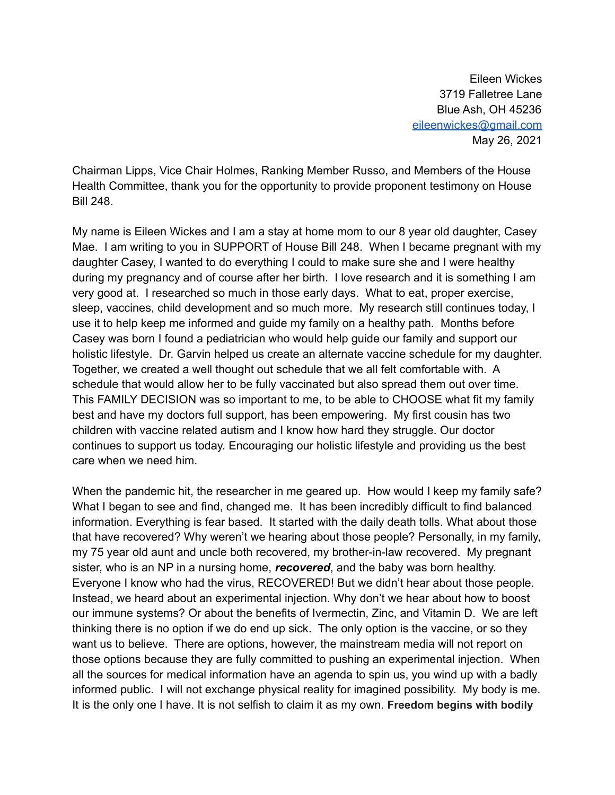Eileen Wickes 3719 Falletree Lane Blue Ash, OH 45236 [eileenwickes@gmail.com](mailto:eileenwickes@gmail.com) May 26, 2021

Chairman Lipps, Vice Chair Holmes, Ranking Member Russo, and Members of the House Health Committee, thank you for the opportunity to provide proponent testimony on House Bill 248.

My name is Eileen Wickes and I am a stay at home mom to our 8 year old daughter, Casey Mae. I am writing to you in SUPPORT of House Bill 248. When I became pregnant with my daughter Casey, I wanted to do everything I could to make sure she and I were healthy during my pregnancy and of course after her birth. I love research and it is something I am very good at. I researched so much in those early days. What to eat, proper exercise, sleep, vaccines, child development and so much more. My research still continues today, I use it to help keep me informed and guide my family on a healthy path. Months before Casey was born I found a pediatrician who would help guide our family and support our holistic lifestyle. Dr. Garvin helped us create an alternate vaccine schedule for my daughter. Together, we created a well thought out schedule that we all felt comfortable with. A schedule that would allow her to be fully vaccinated but also spread them out over time. This FAMILY DECISION was so important to me, to be able to CHOOSE what fit my family best and have my doctors full support, has been empowering. My first cousin has two children with vaccine related autism and I know how hard they struggle. Our doctor continues to support us today. Encouraging our holistic lifestyle and providing us the best care when we need him.

When the pandemic hit, the researcher in me geared up. How would I keep my family safe? What I began to see and find, changed me. It has been incredibly difficult to find balanced information. Everything is fear based. It started with the daily death tolls. What about those that have recovered? Why weren't we hearing about those people? Personally, in my family, my 75 year old aunt and uncle both recovered, my brother-in-law recovered. My pregnant sister, who is an NP in a nursing home, *recovered*, and the baby was born healthy. Everyone I know who had the virus, RECOVERED! But we didn't hear about those people. Instead, we heard about an experimental injection. Why don't we hear about how to boost our immune systems? Or about the benefits of Ivermectin, Zinc, and Vitamin D. We are left thinking there is no option if we do end up sick. The only option is the vaccine, or so they want us to believe. There are options, however, the mainstream media will not report on those options because they are fully committed to pushing an experimental injection. When all the sources for medical information have an agenda to spin us, you wind up with a badly informed public. I will not exchange physical reality for imagined possibility. My body is me. It is the only one I have. It is not selfish to claim it as my own. **Freedom begins with bodily**